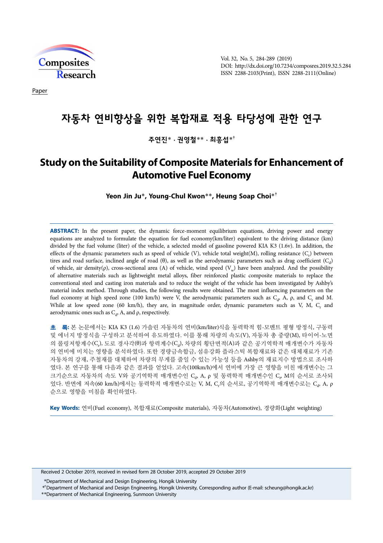

Vol. 32, No. 5, 284-289 (2019) DOI: http://dx.doi.org/10.7234/composres.2019.32.5.284 ISSN 2288-2103(Print), ISSN 2288-2111(Online)

Paper

# 자동차 연비향상을 위한 복합재료 적용 타당성에 관한 연구

주연진\* **·** 권영철\*\* **·** 최흥섭\*†

## **Study on the Suitability of Composite Materials for Enhancement of Automotive Fuel Economy**

**Yeon Jin Ju**\***, Young-Chul Kwon**\*\***, Heung Soap Choi**\*†

**ABSTRACT:** In the present paper, the dynamic force-moment equilibrium equations, driving power and energy equations are analyzed to formulate the equation for fuel economy(km/liter) equivalent to the driving distance (km) divided by the fuel volume (liter) of the vehicle, a selected model of gasoline powered KIA K3 (1.6v). In addition, the effects of the dynamic parameters such as speed of vehicle (V), vehicle total weight(M), rolling resistance (C<sub>r</sub>) between tires and road surface, inclined angle of road  $(\theta)$ , as well as the aerodynamic parameters such as drag coefficient  $(C_d)$ of vehicle, air density( $\rho$ ), cross-sectional area (A) of vehicle, wind speed (V<sub>w</sub>) have been analyzed. And the possibility of alternative materials such as lightweight metal alloys, fiber reinforced plastic composite materials to replace the conventional steel and casting iron materials and to reduce the weight of the vehicle has been investigated by Ashby's material index method. Through studies, the following results were obtained. The most influencing parameters on the fuel economy at high speed zone (100 km/h) were V, the aerodynamic parameters such as  $C_d$ , A,  $\rho$ , and  $C_r$  and M. While at low speed zone (60 km/h), they are, in magnitude order, dynamic parameters such as V, M,  $C_r$  and aerodynamic ones such as  $C_d$ , A, and  $\rho$ , respectively.

초 록**:** 본 논문에서는 KIA K3 (1.6) 가솔린 자동차의 연비(km/liter)식을 동력학적 힘-모멘트 평형 방정식, 구동력 및 에너지 방정식을 구성하고 분석하여 유도하였다. 이를 통해 차량의 속도(V), 자동차 총 중량(M), 타이어-노면 의 롤링저항계수(C<sub>r</sub>), 도로 경사각(θ)과 항력계수(C<sub>d</sub>), 차량의 횡단면적(A)과 같은 공기역학적 매개변수가 자동차 의 연비에 미치는 영향을 분석하였다. 또한 경량금속합금, 섬유강화 플라스틱 복합재료와 같은 대체재료가 기존 자동차의 강재, 주철재를 대체하여 차량의 무게를 줄일 수 있는 가능성 등을 Ashby의 재료지수 방법으로 조사하 였다. 본 연구를 통해 다음과 같은 결과를 얻었다. 고속(100km/h)에서 연비에 가장 큰 영향을 미친 매개변수는 그 크기순으로 자동차의 속도 V와 공기역학적 매개변수인 C<sub>d</sub>, A, ρ 및 동력학적 매개변수인 C<sub>r</sub>, M의 순서로 조사되 었다. 반면에 저속(60 km/h)에서는 동력학적 매개변수로는 V, M, C<sub>r</sub>의 순서로, 공기역학적 매개변수로는 C<sub>d</sub>, A, ρ 순으로 영향을 미침을 확인하였다.

**Key Words:** 연비(Fuel economy), 복합재료(Composite materials), 자동차(Automotive), 경량화(Light weighting)

Received 2 October 2019, received in revised form 28 October 2019, accepted 29 October 2019

\* \*Department of Mechanical and Design Engineering, Hongik University

† \*\*Department of Mechanical and Design Engineering, Hongik University, Corresponding author (E-mail: scheung@hongik.ac.kr)

Department of Mechanical Engineering, Sunmoon University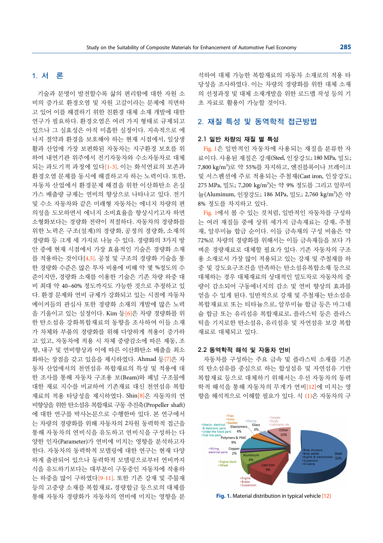## 1. 서 론

기술과 문명이 발전할수록 삶의 편리함에 대한 자원 소 비의 증가로 환경오염 및 자원 고갈이라는 문제에 직면하 고 있어 이를 해결하기 위한 친환경 대체 소재 개발에 대한 연구가 필요하다. 환경오염은 여러 가지 형태로 규제되고 있으나 그 실효성은 아직 미흡한 실정이다. 지속적으로 에 너지 절약과 환경을 보호해야 하는 현재 시점에서, 일상생 활과 산업에 가장 보편화된 자동차는 지구환경 보호를 위 하여 내연기관 위주에서 전기자동차와 수소자동차로 대체 되는 과도기적 과정에 있다[1-3]. 이는 화석연료의 보존과 환경오염 문제를 동시에 해결하고자 하는 노력이다. 또한, 자동차 산업에서 환경문제 해결을 위한 이산화탄소 온실 가스 배출량 규제는 연비의 향상으로 나타나고 있다. 전기 및 수소 자동차와 같은 미래형 자동차는 에너지 차량의 편 의성을 도모하면서 에너지 소비효율을 향상시키고자 하면 소형화보다는 경량화 전략이 적절하다. 자동차의 경량화를 위한 노력은 구조(설계)의 경량화, 공정의 경량화, 소재의 경량화 등 크게 세 가지로 나눌 수 있다. 경량화의 3가지 방 안 중에 현재 시점에서 가장 효율적인 기술은 경량화 소재 를 적용하는 것이다[4,5]. 공정 및 구조의 경량화 기술을 통 한 경량화 수준은 많은 투자 비용에 비해 약 몇 %정도의 수 준이지만, 경량화 소재를 이용한 기술은 기존 차량 하중 대 비 최대 약 40~60% 정도까지도 가능한 것으로 추정하고 있 다. 환경 문제와 연비 규제가 강화되고 있는 시점에 자동차 메이커들의 관심사 또한 경량화 소재의 개발에 많은 노력 을 기울이고 있는 실정이다. Kim 등[6]은 차량 경량화를 위 한 탄소섬유 강화복합재료의 동향을 조사하여 이들 소재 가 차체와 부품의 경량화를 위해 다양하게 적용이 증가하 고 있고, 자동차에 적용 시 차체 중량감소에 따른 제동, 조 향, 내구 및 연비향상과 이에 따른 이산화탄소 배출을 최소 화하는 장점을 갖고 있음을 제시하였다. Ahmad 등[7]은 자 동차 산업에서의 천연섬유 복합재료의 특성 및 적용에 대 한 조사를 통해 자동차 구조용 보(Beam)와 패널 구조물에 대한 재료 지수를 비교하여 기존재료 대신 천연섬유 복합 재료의 적용 타당성을 제시하였다. Shin[8]은 자동차의 연 비향상을 위한 탄소섬유 복합재료 구동 추진축(Propeller shaft) 에 대한 연구를 박사논문으로 수행한바 있다. 본 연구에서 는 차량의 경량화를 위해 자동차의 2차원 동력학적 접근을 통해 자동차의 연비식을 유도하고 연비식을 구성하는 다 양한 인자(Parameter)가 연비에 미치는 영향을 분석하고자 한다. 자동차의 동력학적 모델링에 대한 연구는 현재 다양 하게 출판되어 있으나 동력학적 모델링으로부터 연비까지 식을 유도하기보다는 대부분이 구동중인 자동차에 작용하 는 하중을 많이 구하였다[9-11]. 또한 기존 강재 및 주물재 등의 고중량 소재를 복합재료, 경량합금 등으로의 대체를 통해 자동차 경량화가 자동차의 연비에 미치는 영향을 분

석하여 대체 가능한 복합재료의 자동차 소재로의 적용 타 당성을 조사하였다. 이는 차량의 경량화를 위한 대체 소재 의 선정과정 및 대체 소재개발을 위한 로드맵 작성 등의 기 초 자료로 활용이 가능할 것이다.

## 2. 재질 특성 및 동역학적 접근방법

## 2.1 일반 차량의 재질 별 특성

Fig. 1은 일반적인 자동차에 사용되는 재질을 분류한 자 료이다. 사용된 재질은 강재(Steel, 인장강도; 180 MPa, 밀도; 7,800 kg/m3)로 약 55%를 차지하고, 엔진블록이나 브레이크 및 서스펜션에 주로 적용되는 주철재(Cast iron, 인장강도; 275 MPa, 밀도; 7,200 kg/m<sup>3</sup>)는 약 9% 정도를 그리고 알루미 늄(Aluminum, 인장강도; 186 MPa, 밀도; 2,760 kg/m<sup>3</sup>)은 약 8% 정도를 차지하고 있다.

Fig. 1에서 볼 수 있는 것처럼, 일반적인 자동차를 구성하 는 여러 재질들 중에 상위 세가지 금속재료는 강재, 주철 재, 알루미늄 합금 순이다. 이들 금속재의 구성 비율은 약 72%로 차량의 경량화를 위해서는 이들 금속재들을 보다 가 벼운 경량재료로 대체할 필요가 있다. 기존 자동차의 구조 용 소재로서 가장 많이 적용되고 있는 강재 및 주철재를 하 중 및 강도요구조건을 만족하는 탄소섬유복합소재 등으로 대체하는 경우 대체재료의 상대적인 밀도차로 자동차의 중 량이 감소되어 구동에너지의 감소 및 연비 향상의 효과를 얻을 수 있게 된다. 일반적으로 강재 및 주철재는 탄소섬유 복합재료로 또는 티타늄으로, 알루미늄 합금 등은 마그네 슘 합금 또는 유리섬유 복합재료로, 플라스틱 등은 플라스 틱을 기지로한 탄소섬유, 유리섬유 및 자연섬유 보강 복합 재료로 대체되고 있다.

## 2.2 동역학적 해석 및 자동차 연비

자동차를 구성하는 주요 금속 및 플라스틱 소재를 기존 의 탄소섬유를 중심으로 하는 합성섬유 및 자연섬유 기반 복합재료 등으로 대체하기 위해서는 우선 자동차의 동력 학적 해석을 통해 자동차의 무게가 연비[12]에 미치는 영 향을 해석적으로 이해할 필요가 있다. 식 (1)은 자동차의 구



**Fig. 1.** Material distribution in typical vehicle [12]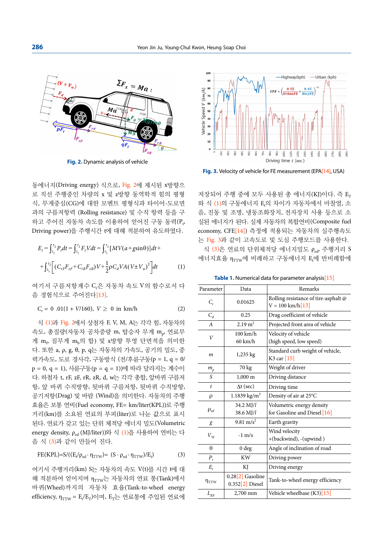

**Fig. 2.** Dynamic analysis of vehicle

동에너지(Driving energy) 식으로, Fig. 2에 제시된 x방향으 로 직선 주행중인 차량의 x 및 z방향 동역학적 힘의 평형 식, 무게중심(CG)에 대한 모멘트 평형식과 타이어-도로면 과의 구름저항력 (Rolling resistance) 및 수직 항력 등을 구 하고 주어진 자동차 속도를 이용하여 얻어진 구동 동력(P<sub>t</sub>, Driving power)을 주행시간 t에 대해 적분하여 유도하였다.

$$
E_{t} = \int_{t_{1}}^{t_{2}} P_{t} dt = \int_{t_{1}}^{t_{2}} F_{t} V dt = \int_{t_{1}}^{t_{2}} [MV(a + g\sin\theta)] dt +
$$
  
+ 
$$
\int_{t_{1}}^{t_{2}} \left[ (C_{rF} F_{zF} + C_{rR} F_{zR}) V + \frac{1}{2} \rho C_{d} V A (V \pm V_{w})^{2} \right] dt
$$
 (1)

여기서 구름저항계수 Cr은 자동차 속도 V의 함수로서 다 음 경험식으로 주어진다[13].

$$
C_r = 0.01(1 + V/160), V \ge 0 \text{ in km/h}
$$
 (2)

식 (1)과 Fig. 2에서 상첨자 F, V, M, A는 각각 힘, 자동차의 속도, 총질량(자동차 공차중량 m, 탑승자 무게 m,, 연료무 게 m<sub>p</sub> 짐무게 m<sub>b</sub>의 합) 및 x방향 투영 단면적을 의미한 다. 또한 a, ρ, g, θ, p, q는 자동차의 가속도, 공기의 밀도, 중 력가속도, 도로 경사각, 구동방식 (전/후륜구동(p = 1, q = 0/ p = 0, q = 1), 사륜구동(p = q = 1))에 따라 달라지는 계수이 다. 하첨자 t, rF, zF, rR, zR, d, w는 각각 총합, 앞바퀴 구름저 항, 앞 바퀴 수직방향, 뒷바퀴 구름저항, 뒷바퀴 수직방향, 공기저항(Drag) 및 바람 (Wind)을 의미한다. 자동차의 주행 효율은 보통 연비(Fuel economy, FE= km/liter(KPL))로 주행 거리(km)를 소요된 연료의 부피(liter)로 나눈 값으로 표시 된다. 연료가 갖고 있는 단위 체적당 에너지 밀도(Volumetric energy density, ρ<sub>ed</sub> (MJ/liter))와 식 (1)을 사용하여 연비는 다 음 식 (3)과 같이 만들어 진다.

$$
FE(KPL)=S/((E_t/\rho_{ed}\cdot\eta_{TTW})=(S\cdot\rho_{ed}\cdot\eta_{TTW})/E_t)
$$
 (3)

여기서 주행거리(km) S는 자동차의 속도 V(t)를 시간 t에 대 해 적분하여 얻어지며 n<sub>TTW</sub>는 자동차의 연료 통(Tank)에서 바퀴(Wheel)까지의 자동차 효율(Tank-to-wheel energy efficiency, η $_{\rm TTW}$  = E<sub>t</sub>/E<sub>T</sub>)이며, E<sub>T</sub>는 연료통에 주입된 연료에



**Fig. 3.** Velocity of vehicle for FE measurement (EPA[14], USA)

저장되어 주행 중에 모두 사용된 총 에너지(KJ)이다. 즉 E<sub>T</sub> 와 식 (1)의 구동에너지 E<sub>t</sub>의 차이가 자동차에서 마찰열, 소 음, 진동 및 조명, 냉동조화장치, 전자장치 사용 등으로 소 실된 에너지가 된다. 실제 자동차의 복합연비(Composite fuel economy, CFE[14]) 측정에 적용되는 자동차의 실주행속도 는 Fig. 3과 같이 고속도로 및 도심 주행모드를 사용한다. 식  $(3)$ 은 연료의 단위체적당 에너지밀도  $\rho_{\text{ed}}$ , 주행거리 S 에너지효율 η<sub>TTW</sub>에 비례하고 구동에너지 Ε<sub>ι</sub>에 반비례함에

**Table 1.** Numerical data for parameter analysis<sup>[15]</sup>

| Parameter        | Data                                    | Remarks                              |  |  |
|------------------|-----------------------------------------|--------------------------------------|--|--|
| $C_r$            | 0.01625                                 | Rolling resistance of tire-asphalt @ |  |  |
|                  |                                         | $V = 100 \text{ km/h} [13]$          |  |  |
| $C_d$            | 0.25                                    | Drag coefficient of vehicle          |  |  |
| $\overline{A}$   | $2.19 \text{ m}^2$                      | Projected front area of vehicle      |  |  |
| V                | $100 \text{ km/h}$                      | Velocity of vehicle                  |  |  |
|                  | $60 \text{ km/h}$                       | (high speed, low speed)              |  |  |
| m                | 1,235 kg                                | Standard curb weight of vehicle,     |  |  |
|                  |                                         | K3 car $[15]$                        |  |  |
| $m_p$            | 70 kg                                   | Weight of driver                     |  |  |
| S                | $1,000 \; \mathrm{m}$                   | Driving distance                     |  |  |
| $\boldsymbol{t}$ | $\Delta t$ (sec)                        | Driving time                         |  |  |
| ρ                | $1.1839$ kg/m <sup>3</sup>              | Density of air at 25°C               |  |  |
| $\rho_{ed}$      | 34.2 MJ/l                               | Volumetric energy density            |  |  |
|                  | 38.6 MJ/l                               | for Gasoline and Diesel [16]         |  |  |
| g                | 9.81 m/s <sup>2</sup>                   | Earth gravity                        |  |  |
| $V_W$            |                                         | Wind velocity                        |  |  |
|                  | $-1$ m/s                                | +(backwind), -(upwind)               |  |  |
| $\theta$         | 0 <sub>deg</sub>                        | Angle of inclination of road         |  |  |
| $P_t$            | <b>KW</b>                               | Driving power                        |  |  |
| $E_{t}$          | KJ                                      | Driving energy                       |  |  |
| $\eta_{TTW}$     | $0.28[2]$ Gasoline<br>$0.352[2]$ Diesel | Tank-to-wheel energy efficiency      |  |  |
| $L_{\rm RF}$     | 2,700 mm                                | Vehicle wheelbase $(K3)$ [15]        |  |  |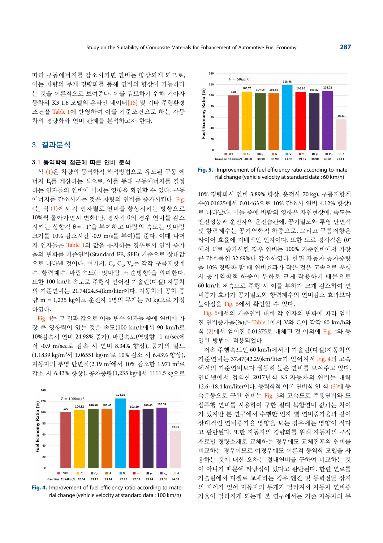따라 구동에너지를 감소시키면 연비는 향상되게 되므로, 이는 차량의 무게 경량화를 통해 연비의 향상이 가능하다 는 것을 이론적으로 보여준다. 이를 검토하기 위해 기아자 동차의 K3 1.6 모델의 온라인 데이터[15] 및 기타 주행환경 조건을 Table 1에 반영하여 이를 기준조건으로 하는 자동 차의 경량화와 연비 관계를 분석하고자 한다.

## 3. 결과분석

#### 3.1 동역학적 접근에 따른 연비 분석

식 (1)은 차량의 동역학적 해석방법으로 유도된 구동 에 너지 E<sub>t</sub>를 계산하는 식으로, 이를 통해 구동에너지를 결정 하는 인자들의 연비에 미치는 영향을 확인할 수 있다. 구동 에너지를 감소시키는 것은 차량의 연비를 증가시킨다. Fig. 4는 식 (1)에서 각 인자별로 연비를 향상시키는 방향으로 10%씩 돌아가면서 변화(단, 경사각 θ의 경우 연비를 감소 시키는 상향각 θ = +1°을 부여하고 바람의 속도는 맞바람 크기를 10% 감소시킨 -0.9 m/s를 부여)를 준다. 이때 나머 지 인자들은 Table 1의 값을 유지하는 경우로서 연비 증가 율의 변화를 기준연비(Standard FE, SFE) 기준으로 상대값 으로 나타낸 것이다. 여기서, C, C<sub>d</sub>, V,,는 각각 구름저항계 수, 항력계수, 바람속도(-: 맞바람, +: 순방향)을 의미한다. 또한 100 km/h 속도로 주행시 얻어진 가솔린(디젤) 자동차 의 기준연비는 21.74(24.54)km/liter이다. 자동차의 공차 중 량 m = 1,235 kg이고 운전자 1명의 무게는 70 kg으로 가정 하였다.

Fig. 4는 그 결과 값으로 이들 변수 인자들 중에 연비에 가 장 큰 영향력이 있는 것은 속도(100 km/h에서 90 km/h로 10%감속시 연비 24.98% 증가), 바람속도(역방향 -1 m/sec에 서 -0.9 m/sec로 감속 시 연비 8.34% 향상), 공기의 밀도 (1.1839 kg/m3 서 1.06551 kg/m3 로 10% 감소 시 6.43% 향상), 자동차의 투영 단면적(2.19 m<sup>2</sup>에서 10% 감소한 1.971 m<sup>2</sup>로 감소 시 6.43% 향상), 공차중량(1,235 kg에서 1111.5 kg으로



**Fig. 4.** Improvement of fuel efficiency ratio according to material change (vehicle velocity at standard data : 100 km/h)



**Fig. 5.** Improvement of fuel efficiency ratio according to material change (vehicle velocity at standard data : 60 km/h)

10% 경량화시 연비 3.89% 향상, 운전사 70 kg), 구름저항계 수(0.01625에서 0.01463으로 10% 감소시 연비 4.12% 향상) 로 나타났다. 이들 중에 바람의 영향은 자연현상에, 속도는 엔진성능과 운전자의 운전습관에, 공기밀도와 투영 단면적 및 항력계수는 공기역학적 하중으로, 그리고 구름저항은 타이어 효율에 지배적인 인자이다. 또한 도로 경사각은 (0° 에서 1°로 증가시킨 경우 연비는 100% 기준연비에서 가장 큰 감소폭인 32.69%나 감소하였다. 한편 자동차 공차중량 을 10% 경량화 할 때 연비효과가 작은 것은 고속으로 운행 시 공기역학적 하중이 부하로 크게 작용하기 때문으로 60 km/h 저속으로 주행 시 이들 부하가 크게 감소하여 연 비증가 효과가 공기밀도와 항력계수의 연비감소 효과보다 높아짐을 Fig. 5에서 확인할 수 있다.

Fig. 5에서의 기준연비 대비 각 인자의 변화에 따라 얻어 진 연비증가율(%)은 Table 1에서 V와 C<sub>r</sub>이 각각 60 km/h와 식 (2)에서 얻어진 0.01375로 대체된 것 이외에 Fig. 4와 동 일한 방법이 적용되었다.

저속 주행속도인 60 km/h에서의 가솔린(디젤)자동차의 기준연비는 37.47(42.29)km/liter가 얻어져서 Fig. 4의 고속 에서의 기준연비보다 월등히 높은 연비를 보여주고 있다. 인터넷에서 검색한 2017년식 K3 자동차의 연비는 대략 12.6~18.4 km/liter이다. 동력학적 이론 연비식 인 식 (3)에 등 속운동으로 구한 연비는 Fig. 3의 고속도로 주행연비와 도 심주행 연비를 사용하여 구한 절대 복합연비 값과는 차이 가 있지만 본 연구에서 수행한 인자 별 연비증가율과 같이 상대적인 연비증가율 영향을 보는 경우에는 영향이 적다 고 판단된다. 또한 자동차의 경량화를 위해 자동차의 구성 재료별 경량소재로 교체하는 경우에도 교체전후의 연비를 비교하는 경우이므로 이경우에도 이론적 동역학 모델을 사 용하는 것에 대한 오차는 절대연비를 구하여 비교하는 것 이 아니기 때문에 타당성이 있다고 판단된다. 한편 연료를 가솔린에서 디젤로 교체하는 경우 엔진 및 동력전달 장치 의 차이가 있어 자동차의 무게가 달라져서 자동차 연비증 가율이 달라지게 되는데 본 연구에서는 기존 자동차의 무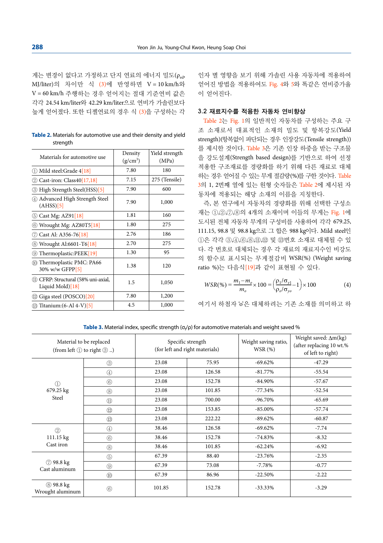게는 변경이 없다고 가정하고 단지 연료의 에너지 밀도(ρ.,, MJ/liter)의 차이만 식 (3)에 반영하면 V = 10 km/h와 V = 60 km/h 주행하는 경우 얻어지는 절대 기준연비 값은 각각 24.54 km/liter와 42.29 km/liter으로 연비가 가솔린보다 높게 얻어졌다. 또한 디젤연료의 경우 식 (3)을 구성하는 각

**Table 2.** Materials for automotive use and their density and yield strength

| Materials for automotive use                                | Density<br>$(g/cm^3)$ | Yield strength<br>(MPa) |
|-------------------------------------------------------------|-----------------------|-------------------------|
| 10 Mild steel:Grade 4[18]                                   | 7.80                  | 180                     |
| Cast-iron: $Class40[17,18]$<br>(2)                          | 7.15                  | 275 (Tensile)           |
| High Strength Steel(HSS)[5]<br>(3)                          | 7.90                  | 600                     |
| Advanced High Strength Steel<br>(AHSS)[5]                   | 7.90                  | 1,000                   |
| 5 Cast Mg: AZ91[18]                                         | 1.81                  | 160                     |
| Wrought Mg: AZ80T5[18]<br>(6)                               | 1.80                  | 275                     |
| Cast Al: A356-76[18]<br>(7)                                 | 2.76                  | 186                     |
| Wrought Al:6601-T6[18]<br>(8)                               | 2.70                  | 275                     |
| Thermoplastic:PEEK[19]<br>(9)                               | 1.30                  | 95                      |
| 10 Thermoplastic PMC: PA66<br>30% w/w GFPP[5]               | 1.38                  | 120                     |
| (11) CFRP: Structural (58% uni-axial,<br>Liquid Mold $[18]$ | 1.5                   | 1,050                   |
| Giga steel (POSCO)[20]<br>(12)                              | 7.80                  | 1,200                   |
| $\textcircled{13}$ Titanium: $(6-A14-V)$ [5]                | 4.5                   | 1,000                   |

인자 별 영향을 보기 위해 가솔린 사용 자동차에 적용하여 얻어진 방법을 적용하여도 Fig. 4와 5와 똑같은 연비증가율 이 얻어진다.

## 3.2 재료지수를 적용한 자동차 연비향상

Table 2는 Fig. 1의 일반적인 자동차를 구성하는 주요 구 조 소재로서 대표적인 소재의 밀도 및 항복강도(Yield strength)(항복없이 파단되는 경우 인장강도(Tensile strength)) 를 제시한 것이다. Table 3은 기존 인장 하중을 받는 구조물 을 강도설계(Strength based design)를 기반으로 하여 선정 적용한 구조재료를 경량화를 하기 위해 다른 재료로 대체 하는 경우 얻어질 수 있는 무게 절감량(%)를 구한 것이다. Table 3의 1, 2번째 열에 있는 원형 숫자들은 Table 2에 제시된 자 동차에 적용되는 해당 소재의 이름을 지칭한다.

즉, 본 연구에서 자동차의 경량화를 위해 선택한 구성소 재는 ①,②,⑦,⑧의 4개의 소재이며 이들의 무게는 Fig. 1에 도시된 전체 자동차 무게의 구성비를 사용하여 각각 679.25, 111.15, 98.8 및 98.8 kg으로 그 합은 988 kg이다. Mild steel인 ①은 각각 ③,④,⑥,⑧,⑪,⑫ 및 ⑬번호 소재로 대체될 수 있 다. 각 번호로 대체되는 경우 각 재료의 재료지수인 비강도 의 함수로 표시되는 무게절감비 WSR(%) (Weight saving ratio %)는 다음식[19]과 같이 표현될 수 있다.

$$
WSR(\%) = \frac{m_1 - m_o}{m_o} \times 100 = \left(\frac{\rho_1 / \sigma_{y1}}{\rho_o / \sigma_{yo}} - 1\right) \times 100\tag{4}
$$

여기서 하첨자 'o'은 대체하려는 기존 소재를 의미하고 하

**Table 3.** Material index, specific strength (σ<sub>τ</sub>/ρ) for automotive materials and weight saved %

| Material to be replaced<br>(from left $(1)$ to right $(3)$ ) |                            | Specific strength<br>(for left and right materials) |        | Weight saving ratio,<br>WSR(%) | Weight saved: $\Delta m(kg)$<br>(after replacing 10 wt.%<br>of left to right) |
|--------------------------------------------------------------|----------------------------|-----------------------------------------------------|--------|--------------------------------|-------------------------------------------------------------------------------|
| $\circled{1}$<br>679.25 kg<br>Steel                          | $\circled{3}$              | 23.08                                               | 75.95  | $-69.62%$                      | $-47.29$                                                                      |
|                                                              | $\circled{4}$              | 23.08                                               | 126.58 | $-81.77\%$                     | $-55.54$                                                                      |
|                                                              | $\circled{6}$              | 23.08                                               | 152.78 | $-84.90\%$                     | $-57.67$                                                                      |
|                                                              | $\circledS$                | 23.08                                               | 101.85 | $-77.34%$                      | $-52.54$                                                                      |
|                                                              | $^{\textcircled{\tiny 1}}$ | 23.08                                               | 700.00 | $-96.70\%$                     | $-65.69$                                                                      |
|                                                              | $\circled{1}$              | 23.08                                               | 153.85 | $-85.00\%$                     | $-57.74$                                                                      |
|                                                              | $\circled{1}$              | 23.08                                               | 222.22 | $-89.62%$                      | $-60.87$                                                                      |
| $\circled{2}$<br>111.15 kg<br>Cast iron                      | ④                          | 38.46                                               | 126.58 | $-69.62%$                      | $-7.74$                                                                       |
|                                                              | $\circled{6}$              | 38.46                                               | 152.78 | $-74.83%$                      | $-8.32$                                                                       |
|                                                              | $\circledS$                | 38.46                                               | 101.85 | $-62.24%$                      | $-6.92$                                                                       |
| 7 98.8 kg<br>Cast aluminum                                   | $\circledS$                | 67.39                                               | 88.40  | $-23.76%$                      | $-2.35$                                                                       |
|                                                              | $\circledS$                | 67.39                                               | 73.08  | $-7.78%$                       | $-0.77$                                                                       |
|                                                              | $^{\circledR}$             | 67.39                                               | 86.96  | $-22.50%$                      | $-2.22$                                                                       |
| $(8)$ 98.8 kg<br>Wrought aluminum                            | $\circled{6}$              | 101.85                                              | 152.78 | $-33.33%$                      | $-3.29$                                                                       |